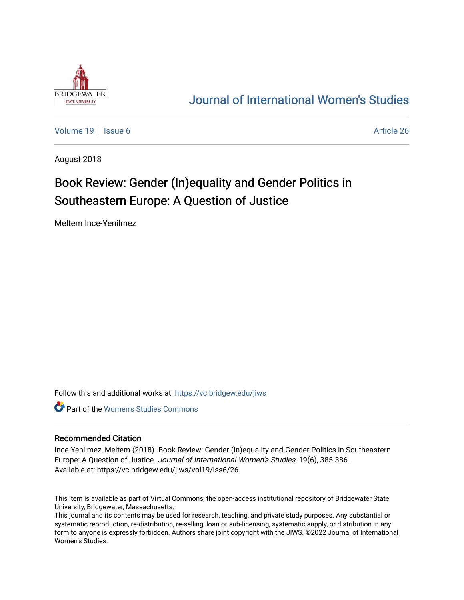

## [Journal of International Women's Studies](https://vc.bridgew.edu/jiws)

[Volume 19](https://vc.bridgew.edu/jiws/vol19) | [Issue 6](https://vc.bridgew.edu/jiws/vol19/iss6) Article 26

August 2018

# Book Review: Gender (In)equality and Gender Politics in Southeastern Europe: A Question of Justice

Meltem Ince-Yenilmez

Follow this and additional works at: [https://vc.bridgew.edu/jiws](https://vc.bridgew.edu/jiws?utm_source=vc.bridgew.edu%2Fjiws%2Fvol19%2Fiss6%2F26&utm_medium=PDF&utm_campaign=PDFCoverPages)

**C** Part of the Women's Studies Commons

#### Recommended Citation

Ince-Yenilmez, Meltem (2018). Book Review: Gender (In)equality and Gender Politics in Southeastern Europe: A Question of Justice. Journal of International Women's Studies, 19(6), 385-386. Available at: https://vc.bridgew.edu/jiws/vol19/iss6/26

This item is available as part of Virtual Commons, the open-access institutional repository of Bridgewater State University, Bridgewater, Massachusetts.

This journal and its contents may be used for research, teaching, and private study purposes. Any substantial or systematic reproduction, re-distribution, re-selling, loan or sub-licensing, systematic supply, or distribution in any form to anyone is expressly forbidden. Authors share joint copyright with the JIWS. ©2022 Journal of International Women's Studies.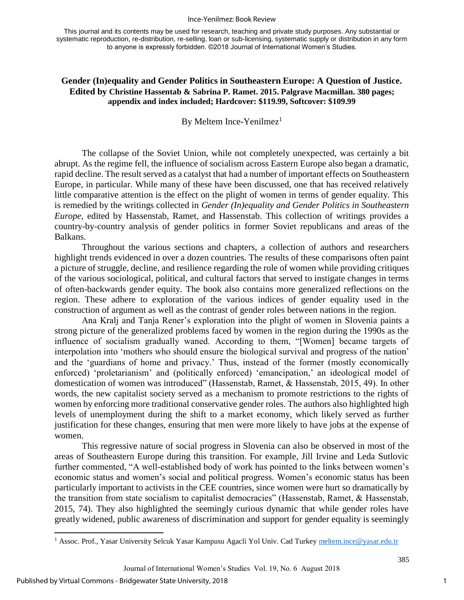#### Ince-Yenilmez: Book Review

This journal and its contents may be used for research, teaching and private study purposes. Any substantial or systematic reproduction, re-distribution, re-selling, loan or sub-licensing, systematic supply or distribution in any form to anyone is expressly forbidden. ©2018 Journal of International Women's Studies.

### **Gender (In)equality and Gender Politics in Southeastern Europe: A Question of Justice. Edited by Christine Hassentab & Sabrina P. Ramet. 2015. Palgrave Macmillan. 380 pages; appendix and index included; Hardcover: \$119.99, Softcover: \$109.99**

By Meltem Ince-Yenilmez<sup>1</sup>

The collapse of the Soviet Union, while not completely unexpected, was certainly a bit abrupt. As the regime fell, the influence of socialism across Eastern Europe also began a dramatic, rapid decline. The result served as a catalyst that had a number of important effects on Southeastern Europe, in particular. While many of these have been discussed, one that has received relatively little comparative attention is the effect on the plight of women in terms of gender equality. This is remedied by the writings collected in *Gender (In)equality and Gender Politics in Southeastern Europe,* edited by Hassenstab, Ramet, and Hassenstab. This collection of writings provides a country-by-country analysis of gender politics in former Soviet republicans and areas of the Balkans.

Throughout the various sections and chapters, a collection of authors and researchers highlight trends evidenced in over a dozen countries. The results of these comparisons often paint a picture of struggle, decline, and resilience regarding the role of women while providing critiques of the various sociological, political, and cultural factors that served to instigate changes in terms of often-backwards gender equity. The book also contains more generalized reflections on the region. These adhere to exploration of the various indices of gender equality used in the construction of argument as well as the contrast of gender roles between nations in the region.

Ana Kralj and Tanja Rener's exploration into the plight of women in Slovenia paints a strong picture of the generalized problems faced by women in the region during the 1990s as the influence of socialism gradually waned. According to them, "[Women] became targets of interpolation into 'mothers who should ensure the biological survival and progress of the nation' and the 'guardians of home and privacy.' Thus, instead of the former (mostly economically enforced) 'proletarianism' and (politically enforced) 'emancipation,' an ideological model of domestication of women was introduced" (Hassenstab, Ramet, & Hassenstab, 2015, 49). In other words, the new capitalist society served as a mechanism to promote restrictions to the rights of women by enforcing more traditional conservative gender roles. The authors also highlighted high levels of unemployment during the shift to a market economy, which likely served as further justification for these changes, ensuring that men were more likely to have jobs at the expense of women.

This regressive nature of social progress in Slovenia can also be observed in most of the areas of Southeastern Europe during this transition. For example, Jill Irvine and Leda Sutlovic further commented, "A well-established body of work has pointed to the links between women's economic status and women's social and political progress. Women's economic status has been particularly important to activists in the CEE countries, since women were hurt so dramatically by the transition from state socialism to capitalist democracies" (Hassenstab, Ramet, & Hassenstab, 2015, 74). They also highlighted the seemingly curious dynamic that while gender roles have greatly widened, public awareness of discrimination and support for gender equality is seemingly

 $\overline{a}$ 

1

<sup>&</sup>lt;sup>1</sup> Assoc. Prof., Yasar University Selcuk Yasar Kampusu Agacli Yol Univ. Cad Turke[y meltem.ince@yasar.edu.tr](mailto:meltem.ince@yasar.edu.tr)